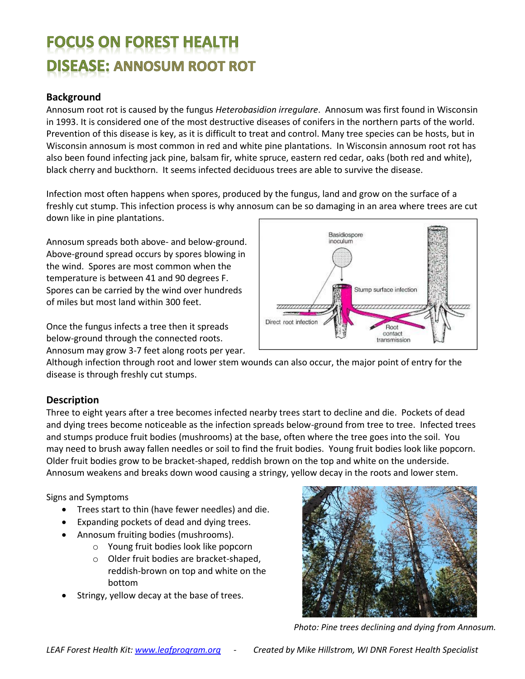# **FOCUS ON FOREST HEALTH DISEASE: ANNOSUM ROOT ROT**

## **Background**

Annosum root rot is caused by the fungus *Heterobasidion irregulare*. Annosum was first found in Wisconsin in 1993. It is considered one of the most destructive diseases of conifers in the northern parts of the world. Prevention of this disease is key, as it is difficult to treat and control. Many tree species can be hosts, but in Wisconsin annosum is most common in red and white pine plantations. In Wisconsin annosum root rot has also been found infecting jack pine, balsam fir, white spruce, eastern red cedar, oaks (both red and white), black cherry and buckthorn. It seems infected deciduous trees are able to survive the disease.

Infection most often happens when spores, produced by the fungus, land and grow on the surface of a freshly cut stump. This infection process is why annosum can be so damaging in an area where trees are cut down like in pine plantations.

Annosum spreads both above- and below-ground. Above-ground spread occurs by spores blowing in the wind. Spores are most common when the temperature is between 41 and 90 degrees F. Spores can be carried by the wind over hundreds of miles but most land within 300 feet.

Once the fungus infects a tree then it spreads below-ground through the connected roots. Annosum may grow 3-7 feet along roots per year.



Although infection through root and lower stem wounds can also occur, the major point of entry for the disease is through freshly cut stumps.

## **Description**

Three to eight years after a tree becomes infected nearby trees start to decline and die. Pockets of dead and dying trees become noticeable as the infection spreads below-ground from tree to tree. Infected trees and stumps produce fruit bodies (mushrooms) at the base, often where the tree goes into the soil. You may need to brush away fallen needles or soil to find the fruit bodies. Young fruit bodies look like popcorn. Older fruit bodies grow to be bracket-shaped, reddish brown on the top and white on the underside. Annosum weakens and breaks down wood causing a stringy, yellow decay in the roots and lower stem.

Signs and Symptoms

- Trees start to thin (have fewer needles) and die.
- Expanding pockets of dead and dying trees.
- Annosum fruiting bodies (mushrooms).
	- o Young fruit bodies look like popcorn
		- o Older fruit bodies are bracket-shaped, reddish-brown on top and white on the bottom
- Stringy, yellow decay at the base of trees.



*Photo: Pine trees declining and dying from Annosum.*